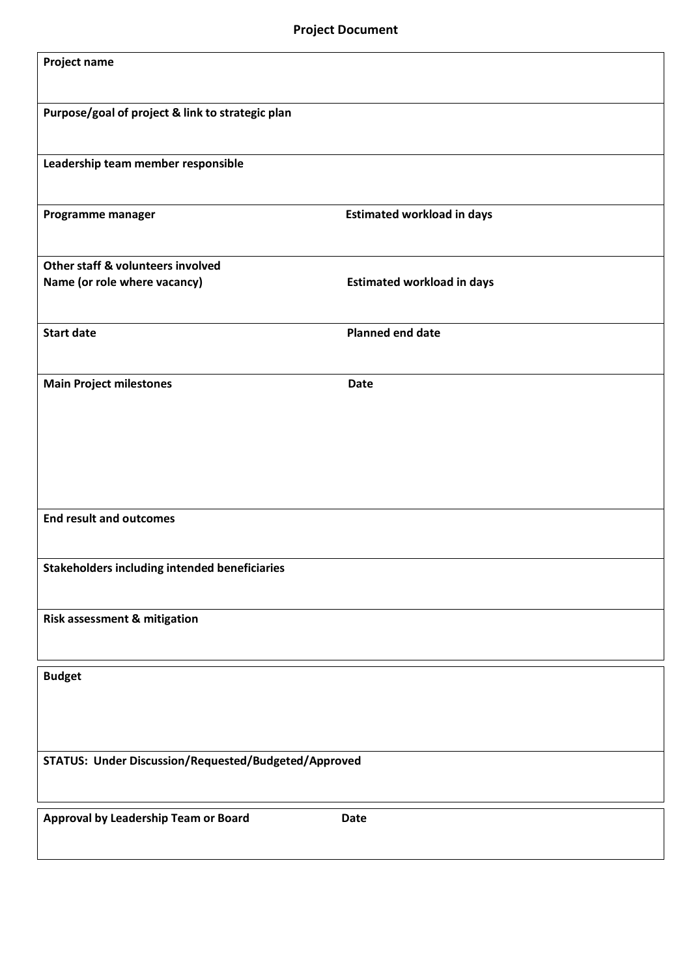| Project name                                         |                                   |  |
|------------------------------------------------------|-----------------------------------|--|
| Purpose/goal of project & link to strategic plan     |                                   |  |
| Leadership team member responsible                   |                                   |  |
| Programme manager                                    | <b>Estimated workload in days</b> |  |
| Other staff & volunteers involved                    |                                   |  |
| Name (or role where vacancy)                         | <b>Estimated workload in days</b> |  |
| <b>Start date</b>                                    | <b>Planned end date</b>           |  |
| <b>Main Project milestones</b>                       | Date                              |  |
|                                                      |                                   |  |
|                                                      |                                   |  |
| <b>End result and outcomes</b>                       |                                   |  |
| <b>Stakeholders including intended beneficiaries</b> |                                   |  |
| Risk assessment & mitigation                         |                                   |  |
| <b>Budget</b>                                        |                                   |  |
|                                                      |                                   |  |
|                                                      |                                   |  |
| STATUS: Under Discussion/Requested/Budgeted/Approved |                                   |  |
| Approval by Leadership Team or Board                 | Date                              |  |
|                                                      |                                   |  |